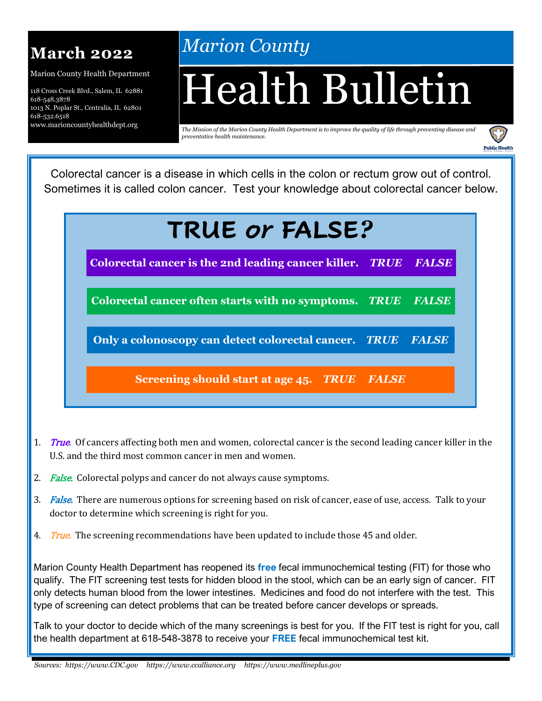

Marion County Health Department

118 Cross Creek Blvd., Salem, IL 62881 618-548.3878 1013 N. Poplar St., Centralia, IL 62801 618-532.6518 www.marioncountyhealthdept.org

# *Marion County*

# Health Bulletin

*The Mission of the Marion County Health Department is to improve the quality of life through preventing disease and preventative health maintenance.* 



Colorectal cancer is a disease in which cells in the colon or rectum grow out of control. Sometimes it is called colon cancer. Test your knowledge about colorectal cancer below.

# **TRUE** *or* **FALSE***?*

**Colorectal cancer is the 2nd leading cancer killer.** *TRUE FALSE*

**Colorectal cancer often starts with no symptoms.** *TRUE FALSE*

**Only a colonoscopy can detect colorectal cancer.** *TRUE FALSE*

**Screening should start at age 45.** *TRUE FALSE*

- 1. True. Of cancers affecting both men and women, colorectal cancer is the second leading cancer killer in the U.S. and the third most common cancer in men and women.
- 2. False. Colorectal polyps and cancer do not always cause symptoms.
- 3. False. There are numerous options for screening based on risk of cancer, ease of use, access. Talk to your doctor to determine which screening is right for you.
- 4. True. The screening recommendations have been updated to include those 45 and older.

Marion County Health Department has reopened its **free** fecal immunochemical testing (FIT) for those who qualify. The FIT screening test tests for hidden blood in the stool, which can be an early sign of cancer. FIT only detects human blood from the lower intestines. Medicines and food do not interfere with the test. This type of screening can detect problems that can be treated before cancer develops or spreads.

Talk to your doctor to decide which of the many screenings is best for you. If the FIT test is right for you, call the health department at 618-548-3878 to receive your **FREE** fecal immunochemical test kit.